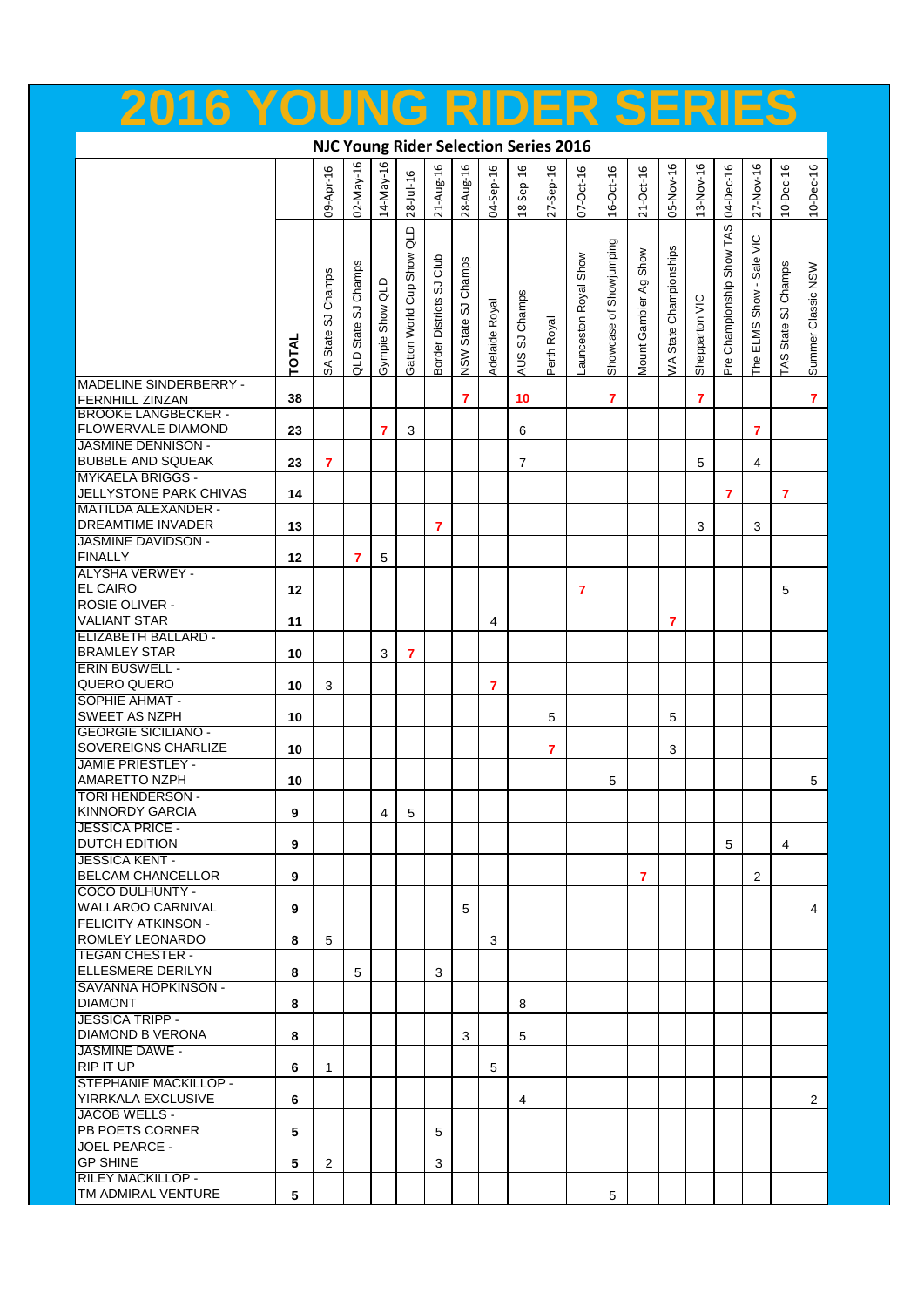| ZU 10                                                                   | TUUNG KIDEK ƏEKIEƏ |                       |                     |                         |                       |                          |                     |                |                |              |                      |                         |                       |                        |                |                           |                |                     |                    |
|-------------------------------------------------------------------------|--------------------|-----------------------|---------------------|-------------------------|-----------------------|--------------------------|---------------------|----------------|----------------|--------------|----------------------|-------------------------|-----------------------|------------------------|----------------|---------------------------|----------------|---------------------|--------------------|
| <b>NJC Young Rider Selection Series 2016</b>                            |                    |                       |                     |                         |                       |                          |                     |                |                |              |                      |                         |                       |                        |                |                           |                |                     |                    |
|                                                                         |                    | 09-Apr-16             | 02-May-16           | 14-May-16               | $28 -1 u - 16$        | 21-Aug-16                | 28-Aug-16           | 04-Sep-16      | 18-Sep-16      | $27-$ Sep-16 | $07 - Oct-16$        | $16 - Oct - 16$         | $21 - Oct - 16$       | 05-Nov-16              | 13-Nov-16      | 04-Dec-16                 | 27-Nov-16      | 10-Dec-16           | 10-Dec-16          |
|                                                                         |                    |                       |                     |                         | qTD                   |                          |                     |                |                |              |                      |                         |                       |                        |                |                           | Sale VIC       |                     |                    |
|                                                                         |                    | SJ Champs<br>SA State | QLD State SJ Champs | Gympie Show QLD         | Gatton World Cup Show | Border Districts SJ Club | NSW State SJ Champs | Adelaide Royal | AUS SJ Champs  | Perth Royal  | aunceston Royal Show | Showcase of Showjumping | Mount Gambier Ag Show | WA State Championships | Shepparton VIC | Pre Championship Show TAS | ELMS Show      | TAS State SJ Champs | Summer Classic NSW |
|                                                                         | TOTAL              |                       |                     |                         |                       |                          |                     |                |                |              |                      |                         |                       |                        |                |                           | Рe<br>Н        |                     |                    |
| MADELINE SINDERBERRY -<br>FERNHILL ZINZAN<br><b>BROOKE LANGBECKER -</b> | 38                 |                       |                     |                         |                       |                          | $\overline{7}$      |                | 10             |              |                      | $\overline{7}$          |                       |                        | $\overline{7}$ |                           |                |                     | $\overline{7}$     |
| FLOWERVALE DIAMOND<br><b>JASMINE DENNISON -</b>                         | 23                 |                       |                     | $\overline{\mathbf{z}}$ | 3                     |                          |                     |                | 6              |              |                      |                         |                       |                        |                |                           | $\overline{7}$ |                     |                    |
| <b>BUBBLE AND SQUEAK</b>                                                | 23                 | $\overline{7}$        |                     |                         |                       |                          |                     |                | $\overline{7}$ |              |                      |                         |                       |                        | 5              |                           | 4              |                     |                    |
| <b>MYKAELA BRIGGS -</b><br>JELLYSTONE PARK CHIVAS                       | 14                 |                       |                     |                         |                       |                          |                     |                |                |              |                      |                         |                       |                        |                | $\overline{7}$            |                | $\overline{7}$      |                    |
| <b>MATILDA ALEXANDER -</b><br>DREAMTIME INVADER                         | 13                 |                       |                     |                         |                       | 7                        |                     |                |                |              |                      |                         |                       |                        | 3              |                           | 3              |                     |                    |
| <b>JASMINE DAVIDSON -</b><br><b>FINALLY</b>                             | 12                 |                       | 7                   | 5                       |                       |                          |                     |                |                |              |                      |                         |                       |                        |                |                           |                |                     |                    |
| <b>ALYSHA VERWEY -</b><br><b>EL CAIRO</b>                               | 12                 |                       |                     |                         |                       |                          |                     |                |                |              | 7                    |                         |                       |                        |                |                           |                | 5                   |                    |
| <b>ROSIE OLIVER -</b><br><b>VALIANT STAR</b>                            | 11                 |                       |                     |                         |                       |                          |                     | 4              |                |              |                      |                         |                       | 7                      |                |                           |                |                     |                    |
| <b>ELIZABETH BALLARD -</b><br><b>BRAMLEY STAR</b>                       | 10                 |                       |                     | 3                       | 7                     |                          |                     |                |                |              |                      |                         |                       |                        |                |                           |                |                     |                    |
| <b>ERIN BUSWELL -</b><br>QUERO QUERO                                    | 10                 | 3                     |                     |                         |                       |                          |                     | 7              |                |              |                      |                         |                       |                        |                |                           |                |                     |                    |
| SOPHIE AHMAT -                                                          |                    |                       |                     |                         |                       |                          |                     |                |                |              |                      |                         |                       |                        |                |                           |                |                     |                    |
| SWEET AS NZPH<br><b>GEORGIE SICILIANO -</b>                             | 10                 |                       |                     |                         |                       |                          |                     |                |                | 5            |                      |                         |                       | 5                      |                |                           |                |                     |                    |
| SOVEREIGNS CHARLIZE<br><b>JAMIE PRIESTLEY -</b>                         | 10                 |                       |                     |                         |                       |                          |                     |                |                | 7            |                      |                         |                       | 3                      |                |                           |                |                     |                    |
| AMARETTO NZPH<br><b>TORI HENDERSON -</b>                                | 10                 |                       |                     |                         |                       |                          |                     |                |                |              |                      | 5                       |                       |                        |                |                           |                |                     | 5                  |
| <b>KINNORDY GARCIA</b><br><b>JESSICA PRICE -</b>                        | 9                  |                       |                     | 4                       | 5                     |                          |                     |                |                |              |                      |                         |                       |                        |                |                           |                |                     |                    |
| DUTCH EDITION<br><b>JESSICA KENT -</b>                                  | 9                  |                       |                     |                         |                       |                          |                     |                |                |              |                      |                         |                       |                        |                | 5                         |                | $\overline{4}$      |                    |
| <b>BELCAM CHANCELLOR</b>                                                | 9                  |                       |                     |                         |                       |                          |                     |                |                |              |                      |                         | $\overline{7}$        |                        |                |                           | $\overline{2}$ |                     |                    |
| <b>COCO DULHUNTY -</b><br><b>WALLAROO CARNIVAL</b>                      | 9                  |                       |                     |                         |                       |                          | 5                   |                |                |              |                      |                         |                       |                        |                |                           |                |                     | 4                  |
| <b>FELICITY ATKINSON -</b><br>ROMLEY LEONARDO                           | 8                  | 5                     |                     |                         |                       |                          |                     | 3              |                |              |                      |                         |                       |                        |                |                           |                |                     |                    |
| <b>TEGAN CHESTER -</b><br>ELLESMERE DERILYN                             | 8                  |                       | 5                   |                         |                       | 3                        |                     |                |                |              |                      |                         |                       |                        |                |                           |                |                     |                    |
| SAVANNA HOPKINSON -<br><b>DIAMONT</b>                                   | 8                  |                       |                     |                         |                       |                          |                     |                | 8              |              |                      |                         |                       |                        |                |                           |                |                     |                    |
| <b>JESSICA TRIPP -</b>                                                  |                    |                       |                     |                         |                       |                          |                     |                |                |              |                      |                         |                       |                        |                |                           |                |                     |                    |
| DIAMOND B VERONA<br><b>JASMINE DAWE -</b>                               | 8                  |                       |                     |                         |                       |                          | 3                   |                | 5              |              |                      |                         |                       |                        |                |                           |                |                     |                    |
| <b>RIP IT UP</b><br>STEPHANIE MACKILLOP -                               | 6                  | 1                     |                     |                         |                       |                          |                     | 5              |                |              |                      |                         |                       |                        |                |                           |                |                     |                    |
| YIRRKALA EXCLUSIVE<br>JACOB WELLS -                                     | 6                  |                       |                     |                         |                       |                          |                     |                | 4              |              |                      |                         |                       |                        |                |                           |                |                     | $\overline{2}$     |
| PB POETS CORNER                                                         | 5                  |                       |                     |                         |                       | 5                        |                     |                |                |              |                      |                         |                       |                        |                |                           |                |                     |                    |
| <b>JOEL PEARCE -</b><br><b>GP SHINE</b>                                 | 5                  | $\overline{2}$        |                     |                         |                       | 3                        |                     |                |                |              |                      |                         |                       |                        |                |                           |                |                     |                    |
| <b>RILEY MACKILLOP -</b><br>TM ADMIRAL VENTURE                          | 5                  |                       |                     |                         |                       |                          |                     |                |                |              |                      | 5                       |                       |                        |                |                           |                |                     |                    |

**2016 YOUNG RIDER SERIES**